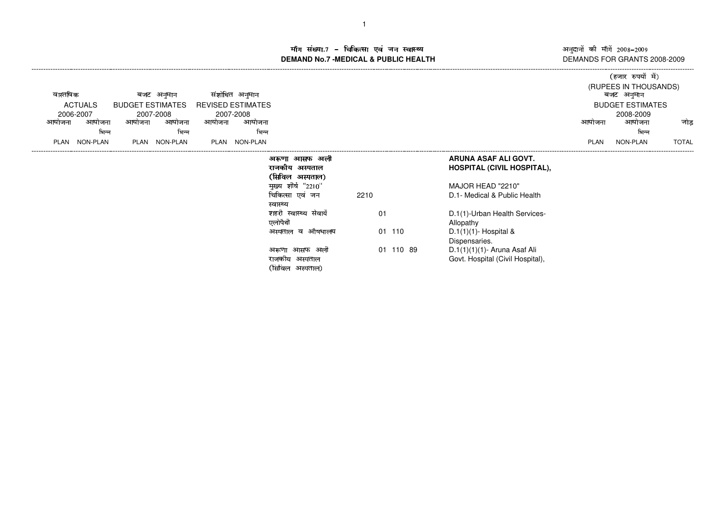अनुदानों की माँगें 2008–2009<br>DEMANDS FOR GRANTS 2008-2009

## ाँग संख्या.7 – चिकित्सा एवं जन स्वास्थ्य<br>IAND No.7 -MEDICAL & DURLIC HEALTH **DEMAND No.7 -MEDICAL & PUBLIC HEALTH**

| संशोधित अनुमान<br>वास्तविक<br>बजट अनुमान<br><b>ACTUALS</b><br><b>BUDGET ESTIMATES</b><br><b>REVISED ESTIMATES</b><br>2006-2007<br>2007-2008<br>2007-2008<br>आयोजना<br>आयोजना<br>आयोजना<br>आयोजना<br>आयोजना<br>आयाजना<br>भिन्न<br>भिन्न | भिन्न                                                                                                                              |                        |                                                                                                                                                 | आयोजना | (हजार रुपयों में)<br>(RUPEES IN THOUSANDS)<br>बजट अनुमान<br><b>BUDGET ESTIMATES</b><br>2008-2009<br>आयोजना<br>भिन्न | जोड          |
|----------------------------------------------------------------------------------------------------------------------------------------------------------------------------------------------------------------------------------------|------------------------------------------------------------------------------------------------------------------------------------|------------------------|-------------------------------------------------------------------------------------------------------------------------------------------------|--------|---------------------------------------------------------------------------------------------------------------------|--------------|
| NON-PLAN<br>PLAN NON-PLAN<br>NON-PLAN<br>PLAN<br>PLAN                                                                                                                                                                                  |                                                                                                                                    |                        |                                                                                                                                                 | PLAN   | NON-PLAN                                                                                                            | <b>TOTAL</b> |
|                                                                                                                                                                                                                                        | अरूणा आसफ अली<br>राजकीय अस्पताल<br>(सिविल अस्पताल)<br>मुख्य शीर्ष "2210"<br>चिकित्सा एवं जन<br>स्वास्थ्य<br>शहरी स्वास्थ्य सेवायें | 2210<br>01             | ARUNA ASAF ALI GOVT.<br><b>HOSPITAL (CIVIL HOSPITAL),</b><br>MAJOR HEAD "2210"<br>D.1- Medical & Public Health<br>D.1(1)-Urban Health Services- |        |                                                                                                                     |              |
|                                                                                                                                                                                                                                        | एलोपैथी<br>औषधालय<br>अस्पताल व<br>अरूणा आसफ अली<br>राजकीय अस्पताल<br>(सिविल<br>अस्पताल)                                            | 01<br>110<br>01 110 89 | Allopathy<br>$D.1(1)(1)$ - Hospital &<br>Dispensaries.<br>D.1(1)(1)(1)- Aruna Asaf Ali<br>Govt. Hospital (Civil Hospital),                      |        |                                                                                                                     |              |

## 1